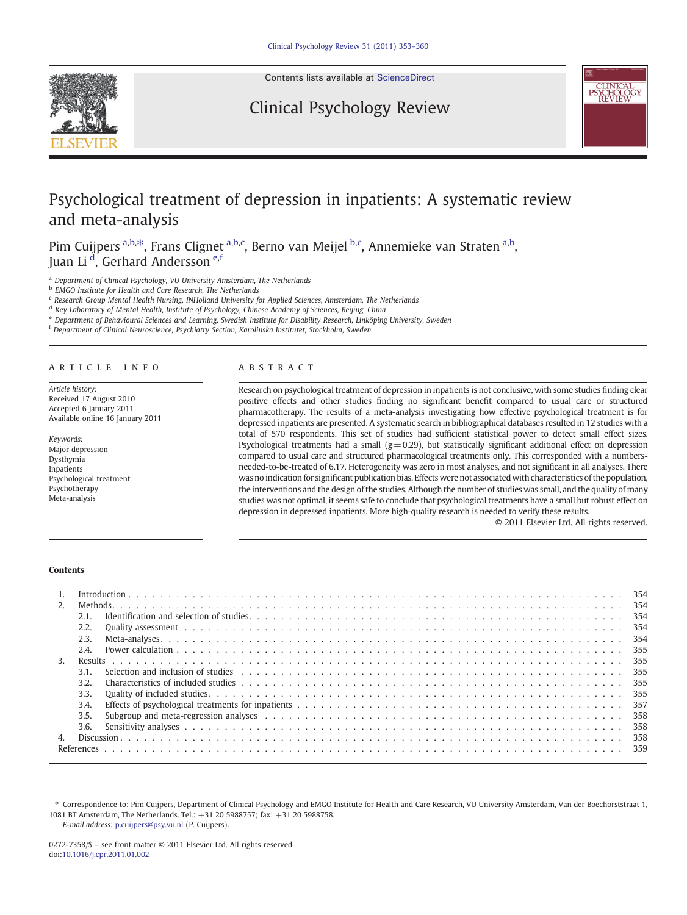

Contents lists available at [ScienceDirect](http://www.sciencedirect.com/science/journal/02727358)

# Clinical Psychology Review



# Psychological treatment of depression in inpatients: A systematic review and meta-analysis

Pim Cuijpers <sup>a,b, $*$ </sup>, Frans Clignet <sup>a,b,c</sup>, Berno van Meijel <sup>b,c</sup>, Annemieke van Straten <sup>a,b</sup>, Juan Li <sup>d</sup>, Gerhard Andersson <sup>e,f</sup>

<sup>a</sup> Department of Clinical Psychology, VU University Amsterdam, The Netherlands

b EMGO Institute for Health and Care Research, The Netherlands

<sup>c</sup> Research Group Mental Health Nursing, INHolland University for Applied Sciences, Amsterdam, The Netherlands

<sup>d</sup> Key Laboratory of Mental Health, Institute of Psychology, Chinese Academy of Sciences, Beijing, China

<sup>e</sup> Department of Behavioural Sciences and Learning, Swedish Institute for Disability Research, Linköping University, Sweden

<sup>f</sup> Department of Clinical Neuroscience, Psychiatry Section, Karolinska Institutet, Stockholm, Sweden

### article info abstract

Article history: Received 17 August 2010 Accepted 6 January 2011 Available online 16 January 2011

Keywords: Major depression Dysthymia Inpatients Psychological treatment Psychotherapy Meta-analysis

Research on psychological treatment of depression in inpatients is not conclusive, with some studies finding clear positive effects and other studies finding no significant benefit compared to usual care or structured pharmacotherapy. The results of a meta-analysis investigating how effective psychological treatment is for depressed inpatients are presented. A systematic search in bibliographical databases resulted in 12 studies with a total of 570 respondents. This set of studies had sufficient statistical power to detect small effect sizes. Psychological treatments had a small  $(g=0.29)$ , but statistically significant additional effect on depression compared to usual care and structured pharmacological treatments only. This corresponded with a numbersneeded-to-be-treated of 6.17. Heterogeneity was zero in most analyses, and not significant in all analyses. There was no indication for significant publication bias. Effects were not associated with characteristics of the population, the interventions and the design of the studies. Although the number of studies was small, and the quality of many studies was not optimal, it seems safe to conclude that psychological treatments have a small but robust effect on depression in depressed inpatients. More high-quality research is needed to verify these results.

© 2011 Elsevier Ltd. All rights reserved.

# Contents

| 2. |      |                                                                                                                                                                                                                                |       |
|----|------|--------------------------------------------------------------------------------------------------------------------------------------------------------------------------------------------------------------------------------|-------|
|    | 2.1. |                                                                                                                                                                                                                                | - 354 |
|    | 2.2. |                                                                                                                                                                                                                                | - 354 |
|    | 2.3. |                                                                                                                                                                                                                                | 354   |
|    | 2.4. |                                                                                                                                                                                                                                |       |
| 3. |      |                                                                                                                                                                                                                                |       |
|    | 3.1. |                                                                                                                                                                                                                                |       |
|    | 3.2. |                                                                                                                                                                                                                                |       |
|    | 3.3. |                                                                                                                                                                                                                                |       |
|    | 3.4. |                                                                                                                                                                                                                                |       |
|    | 3.5. | Subgroup and meta-regression analyses enterprised by enterprised by enterprised by enterprised by enterprised by the state of the Subgroup and meta-regression analyses enterprised by enterprised by enterprised by enterpris | - 358 |
|    | 3.6. |                                                                                                                                                                                                                                | - 358 |
| 4. |      |                                                                                                                                                                                                                                |       |
|    |      |                                                                                                                                                                                                                                |       |

⁎ Correspondence to: Pim Cuijpers, Department of Clinical Psychology and EMGO Institute for Health and Care Research, VU University Amsterdam, Van der Boechorststraat 1, 1081 BT Amsterdam, The Netherlands. Tel.: +31 20 5988757; fax: +31 20 5988758.

E-mail address: [p.cuijpers@psy.vu.nl](mailto:p.cuijpers@psy.vu.nl) (P. Cuijpers).

<sup>0272-7358/\$</sup> – see front matter © 2011 Elsevier Ltd. All rights reserved. doi:[10.1016/j.cpr.2011.01.002](http://dx.doi.org/10.1016/j.cpr.2011.01.002)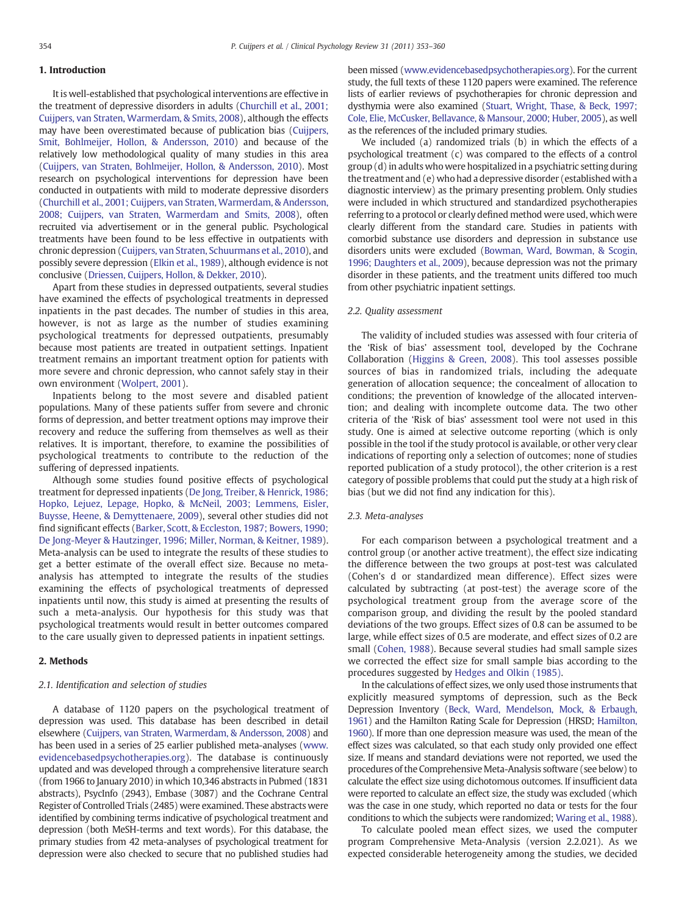# 1. Introduction

It is well-established that psychological interventions are effective in the treatment of depressive disorders in adults [\(Churchill et al., 2001;](#page-6-0) [Cuijpers, van Straten, Warmerdam, & Smits, 2008\)](#page-6-0), although the effects may have been overestimated because of publication bias [\(Cuijpers,](#page-6-0) [Smit, Bohlmeijer, Hollon, & Andersson, 2010](#page-6-0)) and because of the relatively low methodological quality of many studies in this area [\(Cuijpers, van Straten, Bohlmeijer, Hollon, & Andersson, 2010\)](#page-6-0). Most research on psychological interventions for depression have been conducted in outpatients with mild to moderate depressive disorders [\(Churchill et al., 2001; Cuijpers, van Straten, Warmerdam, & Andersson,](#page-6-0) [2008; Cuijpers, van Straten, Warmerdam and Smits, 2008](#page-6-0)), often recruited via advertisement or in the general public. Psychological treatments have been found to be less effective in outpatients with chronic depression ([Cuijpers, van Straten, Schuurmans et al., 2010\)](#page-6-0), and possibly severe depression [\(Elkin et al., 1989](#page-6-0)), although evidence is not conclusive [\(Driessen, Cuijpers, Hollon, & Dekker, 2010\)](#page-6-0).

Apart from these studies in depressed outpatients, several studies have examined the effects of psychological treatments in depressed inpatients in the past decades. The number of studies in this area, however, is not as large as the number of studies examining psychological treatments for depressed outpatients, presumably because most patients are treated in outpatient settings. Inpatient treatment remains an important treatment option for patients with more severe and chronic depression, who cannot safely stay in their own environment [\(Wolpert, 2001\)](#page-7-0).

Inpatients belong to the most severe and disabled patient populations. Many of these patients suffer from severe and chronic forms of depression, and better treatment options may improve their recovery and reduce the suffering from themselves as well as their relatives. It is important, therefore, to examine the possibilities of psychological treatments to contribute to the reduction of the suffering of depressed inpatients.

Although some studies found positive effects of psychological treatment for depressed inpatients ([De Jong, Treiber, & Henrick, 1986;](#page-6-0) [Hopko, Lejuez, Lepage, Hopko, & McNeil, 2003; Lemmens, Eisler,](#page-6-0) [Buysse, Heene, & Demyttenaere, 2009](#page-6-0)), several other studies did not find significant effects ([Barker, Scott, & Eccleston, 1987; Bowers, 1990;](#page-6-0) [De Jong-Meyer & Hautzinger, 1996; Miller, Norman, & Keitner, 1989](#page-6-0)). Meta-analysis can be used to integrate the results of these studies to get a better estimate of the overall effect size. Because no metaanalysis has attempted to integrate the results of the studies examining the effects of psychological treatments of depressed inpatients until now, this study is aimed at presenting the results of such a meta-analysis. Our hypothesis for this study was that psychological treatments would result in better outcomes compared to the care usually given to depressed patients in inpatient settings.

# 2. Methods

# 2.1. Identification and selection of studies

A database of 1120 papers on the psychological treatment of depression was used. This database has been described in detail elsewhere [\(Cuijpers, van Straten, Warmerdam, & Andersson, 2008](#page-6-0)) and has been used in a series of 25 earlier published meta-analyses [\(www.](http://www.evidencebasedpsychotherapies.org) [evidencebasedpsychotherapies.org\)](http://www.evidencebasedpsychotherapies.org). The database is continuously updated and was developed through a comprehensive literature search (from 1966 to January 2010) in which 10,346 abstracts in Pubmed (1831 abstracts), PsycInfo (2943), Embase (3087) and the Cochrane Central Register of Controlled Trials (2485) were examined. These abstracts were identified by combining terms indicative of psychological treatment and depression (both MeSH-terms and text words). For this database, the primary studies from 42 meta-analyses of psychological treatment for depression were also checked to secure that no published studies had

been missed [\(www.evidencebasedpsychotherapies.org\)](http://www.evidencebasedpsychotherapies.org). For the current study, the full texts of these 1120 papers were examined. The reference lists of earlier reviews of psychotherapies for chronic depression and dysthymia were also examined [\(Stuart, Wright, Thase, & Beck, 1997;](#page-7-0) [Cole, Elie, McCusker, Bellavance, & Mansour, 2000; Huber, 2005\)](#page-7-0), as well as the references of the included primary studies.

We included (a) randomized trials (b) in which the effects of a psychological treatment (c) was compared to the effects of a control group (d) in adults who were hospitalized in a psychiatric setting during the treatment and (e) who had a depressive disorder (established with a diagnostic interview) as the primary presenting problem. Only studies were included in which structured and standardized psychotherapies referring to a protocol or clearly defined method were used, which were clearly different from the standard care. Studies in patients with comorbid substance use disorders and depression in substance use disorders units were excluded [\(Bowman, Ward, Bowman, & Scogin,](#page-6-0) [1996; Daughters et al., 2009\)](#page-6-0), because depression was not the primary disorder in these patients, and the treatment units differed too much from other psychiatric inpatient settings.

# 2.2. Quality assessment

The validity of included studies was assessed with four criteria of the 'Risk of bias' assessment tool, developed by the Cochrane Collaboration ([Higgins & Green, 2008\)](#page-6-0). This tool assesses possible sources of bias in randomized trials, including the adequate generation of allocation sequence; the concealment of allocation to conditions; the prevention of knowledge of the allocated intervention; and dealing with incomplete outcome data. The two other criteria of the 'Risk of bias' assessment tool were not used in this study. One is aimed at selective outcome reporting (which is only possible in the tool if the study protocol is available, or other very clear indications of reporting only a selection of outcomes; none of studies reported publication of a study protocol), the other criterion is a rest category of possible problems that could put the study at a high risk of bias (but we did not find any indication for this).

#### 2.3. Meta-analyses

For each comparison between a psychological treatment and a control group (or another active treatment), the effect size indicating the difference between the two groups at post-test was calculated (Cohen's d or standardized mean difference). Effect sizes were calculated by subtracting (at post-test) the average score of the psychological treatment group from the average score of the comparison group, and dividing the result by the pooled standard deviations of the two groups. Effect sizes of 0.8 can be assumed to be large, while effect sizes of 0.5 are moderate, and effect sizes of 0.2 are small [\(Cohen, 1988\)](#page-6-0). Because several studies had small sample sizes we corrected the effect size for small sample bias according to the procedures suggested by [Hedges and Olkin \(1985\).](#page-6-0)

In the calculations of effect sizes, we only used those instruments that explicitly measured symptoms of depression, such as the Beck Depression Inventory [\(Beck, Ward, Mendelson, Mock, & Erbaugh,](#page-6-0) [1961](#page-6-0)) and the Hamilton Rating Scale for Depression (HRSD; [Hamilton,](#page-6-0) [1960](#page-6-0)). If more than one depression measure was used, the mean of the effect sizes was calculated, so that each study only provided one effect size. If means and standard deviations were not reported, we used the procedures of the Comprehensive Meta-Analysis software (see below) to calculate the effect size using dichotomous outcomes. If insufficient data were reported to calculate an effect size, the study was excluded (which was the case in one study, which reported no data or tests for the four conditions to which the subjects were randomized; [Waring et al., 1988\)](#page-7-0).

To calculate pooled mean effect sizes, we used the computer program Comprehensive Meta-Analysis (version 2.2.021). As we expected considerable heterogeneity among the studies, we decided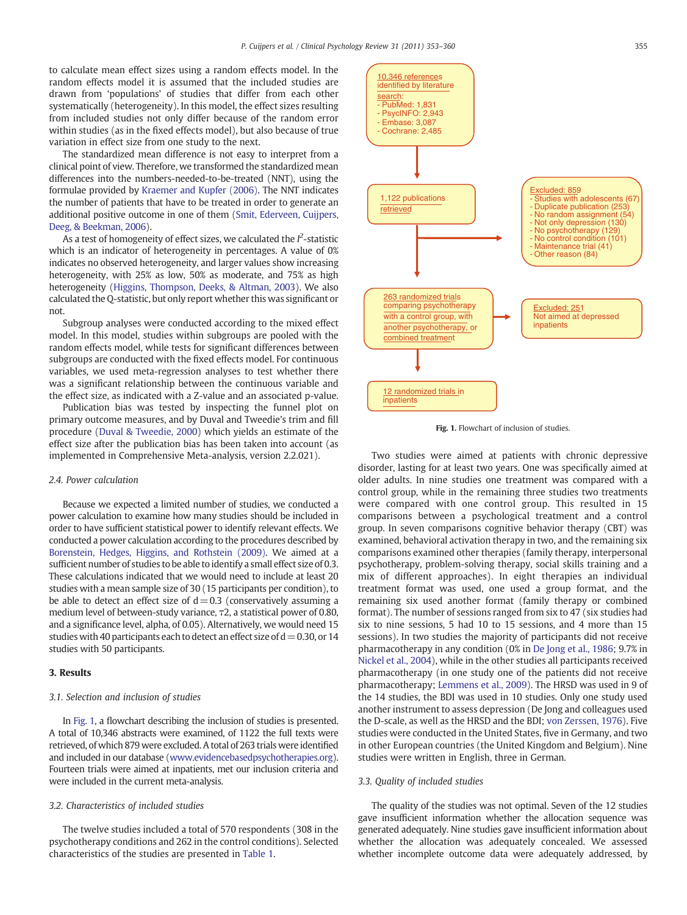to calculate mean effect sizes using a random effects model. In the random effects model it is assumed that the included studies are drawn from 'populations' of studies that differ from each other systematically (heterogeneity). In this model, the effect sizes resulting from included studies not only differ because of the random error within studies (as in the fixed effects model), but also because of true variation in effect size from one study to the next.

The standardized mean difference is not easy to interpret from a clinical point of view. Therefore, we transformed the standardized mean differences into the numbers-needed-to-be-treated (NNT), using the formulae provided by [Kraemer and Kupfer \(2006\)](#page-6-0). The NNT indicates the number of patients that have to be treated in order to generate an additional positive outcome in one of them ([Smit, Ederveen, Cuijpers,](#page-7-0) [Deeg, & Beekman, 2006](#page-7-0)).

As a test of homogeneity of effect sizes, we calculated the  $l^2$ -statistic which is an indicator of heterogeneity in percentages. A value of 0% indicates no observed heterogeneity, and larger values show increasing heterogeneity, with 25% as low, 50% as moderate, and 75% as high heterogeneity [\(Higgins, Thompson, Deeks, & Altman, 2003\)](#page-6-0). We also calculated the Q-statistic, but only report whether this was significant or not.

Subgroup analyses were conducted according to the mixed effect model. In this model, studies within subgroups are pooled with the random effects model, while tests for significant differences between subgroups are conducted with the fixed effects model. For continuous variables, we used meta-regression analyses to test whether there was a significant relationship between the continuous variable and the effect size, as indicated with a Z-value and an associated p-value.

Publication bias was tested by inspecting the funnel plot on primary outcome measures, and by Duval and Tweedie's trim and fill procedure ([Duval & Tweedie, 2000](#page-6-0)) which yields an estimate of the effect size after the publication bias has been taken into account (as implemented in Comprehensive Meta-analysis, version 2.2.021).

#### 2.4. Power calculation

Because we expected a limited number of studies, we conducted a power calculation to examine how many studies should be included in order to have sufficient statistical power to identify relevant effects. We conducted a power calculation according to the procedures described by [Borenstein, Hedges, Higgins, and Rothstein \(2009\)](#page-6-0). We aimed at a sufficient number of studies to be able to identify a small effect size of 0.3. These calculations indicated that we would need to include at least 20 studies with a mean sample size of 30 (15 participants per condition), to be able to detect an effect size of  $d=0.3$  (conservatively assuming a medium level of between-study variance, τ2, a statistical power of 0.80, and a significance level, alpha, of 0.05). Alternatively, we would need 15 studies with 40 participants each to detect an effect size of  $d=0.30$ , or 14 studies with 50 participants.

# 3. Results

#### 3.1. Selection and inclusion of studies

In Fig. 1, a flowchart describing the inclusion of studies is presented. A total of 10,346 abstracts were examined, of 1122 the full texts were retrieved, of which 879 were excluded. A total of 263 trials were identified and included in our database [\(www.evidencebasedpsychotherapies.org](http://www.evidencebasedpsychotherapies.org)). Fourteen trials were aimed at inpatients, met our inclusion criteria and were included in the current meta-analysis.

# 3.2. Characteristics of included studies

The twelve studies included a total of 570 respondents (308 in the psychotherapy conditions and 262 in the control conditions). Selected characteristics of the studies are presented in [Table 1](#page-3-0).



Fig. 1. Flowchart of inclusion of studies.

Two studies were aimed at patients with chronic depressive disorder, lasting for at least two years. One was specifically aimed at older adults. In nine studies one treatment was compared with a control group, while in the remaining three studies two treatments were compared with one control group. This resulted in 15 comparisons between a psychological treatment and a control group. In seven comparisons cognitive behavior therapy (CBT) was examined, behavioral activation therapy in two, and the remaining six comparisons examined other therapies (family therapy, interpersonal psychotherapy, problem-solving therapy, social skills training and a mix of different approaches). In eight therapies an individual treatment format was used, one used a group format, and the remaining six used another format (family therapy or combined format). The number of sessions ranged from six to 47 (six studies had six to nine sessions, 5 had 10 to 15 sessions, and 4 more than 15 sessions). In two studies the majority of participants did not receive pharmacotherapy in any condition (0% in [De Jong et al., 1986;](#page-6-0) 9.7% in [Nickel et al., 2004](#page-7-0)), while in the other studies all participants received pharmacotherapy (in one study one of the patients did not receive pharmacotherapy; [Lemmens et al., 2009\)](#page-6-0). The HRSD was used in 9 of the 14 studies, the BDI was used in 10 studies. Only one study used another instrument to assess depression (De Jong and colleagues used the D-scale, as well as the HRSD and the BDI; [von Zerssen, 1976\)](#page-7-0). Five studies were conducted in the United States, five in Germany, and two in other European countries (the United Kingdom and Belgium). Nine studies were written in English, three in German.

### 3.3. Quality of included studies

The quality of the studies was not optimal. Seven of the 12 studies gave insufficient information whether the allocation sequence was generated adequately. Nine studies gave insufficient information about whether the allocation was adequately concealed. We assessed whether incomplete outcome data were adequately addressed, by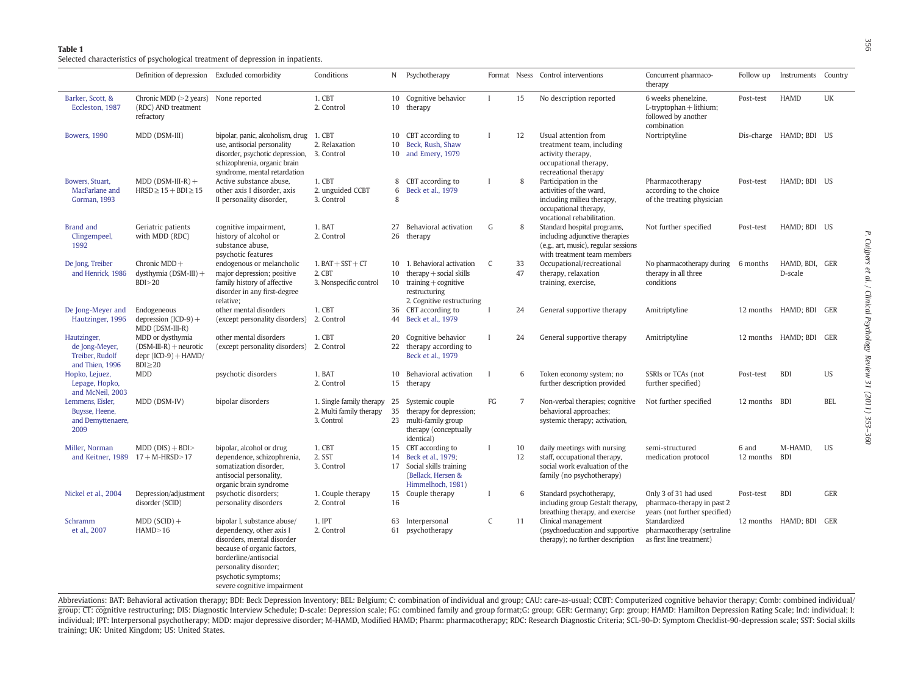<span id="page-3-0"></span>Selected characteristics of psychological treatment of depression in inpatients.

|                                                                     | Definition of depression Excluded comorbidity                                           |                                                                                                                                                                                                                              | Conditions                                                        |                   | N Psychotherapy                                                                                                                   |              |                | Format Nsess Control interventions                                                                                                   | Concurrent pharmaco-<br>therapy                                                      | Follow up          | Instruments Country       |            |
|---------------------------------------------------------------------|-----------------------------------------------------------------------------------------|------------------------------------------------------------------------------------------------------------------------------------------------------------------------------------------------------------------------------|-------------------------------------------------------------------|-------------------|-----------------------------------------------------------------------------------------------------------------------------------|--------------|----------------|--------------------------------------------------------------------------------------------------------------------------------------|--------------------------------------------------------------------------------------|--------------------|---------------------------|------------|
| Barker, Scott, &<br>Eccleston, 1987                                 | Chronic MDD $(>2$ years)<br>(RDC) AND treatment<br>refractory                           | None reported                                                                                                                                                                                                                | 1. CBT<br>2. Control                                              |                   | 10 Cognitive behavior<br>10 therapy                                                                                               | $\mathbf{I}$ | 15             | No description reported                                                                                                              | 6 weeks phenelzine,<br>L-tryptophan + lithium;<br>followed by another<br>combination | Post-test          | <b>HAMD</b>               | UK         |
| <b>Bowers</b> , 1990                                                | MDD (DSM-III)                                                                           | bipolar, panic, alcoholism, drug 1. CBT<br>use, antisocial personality<br>disorder, psychotic depression, 3. Control<br>schizophrenia, organic brain<br>syndrome, mental retardation                                         | 2. Relaxation                                                     | 10<br>10          | CBT according to<br>Beck, Rush, Shaw<br>10 and Emery, 1979                                                                        | $\mathbf{I}$ | 12             | Usual attention from<br>treatment team, including<br>activity therapy,<br>occupational therapy,<br>recreational therapy              | Nortriptyline                                                                        |                    | Dis-charge HAMD; BDI US   |            |
| Bowers, Stuart,<br>MacFarlane and<br><b>Gorman, 1993</b>            | $MDD (DSM-III-R) +$<br>$HRSD \ge 15 + BDI \ge 15$                                       | Active substance abuse,<br>other axis I disorder, axis<br>II personality disorder,                                                                                                                                           | 1. CBT<br>2. unguided CCBT<br>3. Control                          | 6<br>$\mathbf{8}$ | 8 CBT according to<br>Beck et al., 1979                                                                                           | $\mathbf{I}$ | 8              | Participation in the<br>activities of the ward.<br>including milieu therapy,<br>occupational therapy,<br>vocational rehabilitation.  | Pharmacotherapy<br>according to the choice<br>of the treating physician              | Post-test          | HAMD; BDI US              |            |
| <b>Brand and</b><br>Clingempeel,<br>1992                            | Geriatric patients<br>with MDD (RDC)                                                    | cognitive impairment,<br>history of alcohol or<br>substance abuse,<br>psychotic features                                                                                                                                     | 1. BAT<br>2. Control                                              | 27<br>26          | Behavioral activation<br>therapy                                                                                                  | G            | 8              | Standard hospital programs,<br>including adjunctive therapies<br>(e.g., art, music), regular sessions<br>with treatment team members | Not further specified                                                                | Post-test          | HAMD; BDI US              |            |
| De Jong, Treiber<br>and Henrick, 1986                               | Chronic MDD+<br>dysthymia $(DSM-III)$ +<br>BDI > 20                                     | endogenous or melancholic<br>major depression; positive<br>family history of affective<br>disorder in any first-degree<br>relative;                                                                                          | $1. BAT + SST + CT$<br>2. CBT<br>3. Nonspecific control           | 10<br>10          | 10 1. Behavioral activation<br>therapy $+$ social skills<br>$training + cognitive$<br>restructuring<br>2. Cognitive restructuring | C            | 33<br>47       | Occupational/recreational<br>therapy, relaxation<br>training, exercise,                                                              | No pharmacotherapy during 6 months<br>therapy in all three<br>conditions             |                    | HAMD, BDI, GER<br>D-scale |            |
| De Jong-Meyer and<br>Hautzinger, 1996                               | Endogeneous<br>depression $(ICD-9)$ +<br>MDD (DSM-III-R)                                | other mental disorders<br>(except personality disorders) 2. Control                                                                                                                                                          | 1. CBT                                                            | 36<br>44          | CBT according to<br>Beck et al., 1979                                                                                             | $\mathbf{I}$ | 24             | General supportive therapy                                                                                                           | Amitriptyline                                                                        |                    | 12 months HAMD; BDI GER   |            |
| Hautzinger,<br>de Jong-Meyer,<br>Treiber, Rudolf<br>and Thien, 1996 | MDD or dysthymia<br>$(DSM-III-R)$ + neurotic<br>$depr (ICD-9) + HAMD/$<br>$BDI \geq 20$ | other mental disorders<br>(except personality disorders)                                                                                                                                                                     | 1. CBT<br>2. Control                                              | 20<br>22          | Cognitive behavior<br>therapy according to<br>Beck et al., 1979                                                                   | $\mathbf{I}$ | 24             | General supportive therapy                                                                                                           | Amitriptyline                                                                        |                    | 12 months HAMD; BDI GER   |            |
| Hopko, Lejuez,<br>Lepage, Hopko,<br>and McNeil, 2003                | <b>MDD</b>                                                                              | psychotic disorders                                                                                                                                                                                                          | 1. BAT<br>2. Control                                              | 10                | Behavioral activation<br>15 therapy                                                                                               |              | 6              | Token economy system; no<br>further description provided                                                                             | SSRIs or TCAs (not<br>further specified)                                             | Post-test          | <b>BDI</b>                | <b>US</b>  |
| Lemmens, Eisler.<br>Buysse, Heene,<br>and Demyttenaere,<br>2009     | MDD (DSM-IV)                                                                            | bipolar disorders                                                                                                                                                                                                            | 1. Single family therapy<br>2. Multi family therapy<br>3. Control | 25<br>35<br>23    | Systemic couple<br>therapy for depression;<br>multi-family group<br>therapy (conceptually<br>identical)                           | FG           | $\overline{7}$ | Non-verbal therapies; cognitive<br>behavioral approaches;<br>systemic therapy; activation,                                           | Not further specified                                                                | 12 months          | <b>BDI</b>                | <b>BEL</b> |
| Miller, Norman<br>and Keitner, 1989                                 | $MDD (DIS) + BD$<br>$17 + M-HRSD > 17$                                                  | bipolar, alcohol or drug<br>dependence, schizophrenia,<br>somatization disorder,<br>antisocial personality,<br>organic brain syndrome                                                                                        | 1. CBT<br>2. SST<br>3. Control                                    | 15<br>14<br>17    | CBT according to<br>Beck et al., 1979;<br>Social skills training<br>(Bellack, Hersen &<br>Himmelhoch, 1981)                       |              | 10<br>12       | daily meetings with nursing<br>staff, occupational therapy,<br>social work evaluation of the<br>family (no psychotherapy)            | semi-structured<br>medication protocol                                               | 6 and<br>12 months | M-HAMD.<br><b>BDI</b>     | <b>US</b>  |
| Nickel et al., 2004                                                 | Depression/adjustment<br>disorder (SCID)                                                | psychotic disorders;<br>personality disorders                                                                                                                                                                                | 1. Couple therapy<br>2. Control                                   | 15<br>16          | Couple therapy                                                                                                                    | $\mathbf{I}$ | 6              | Standard psychotherapy,<br>including group Gestalt therapy,<br>breathing therapy, and exercise                                       | Only 3 of 31 had used<br>pharmaco-therapy in past 2<br>years (not further specified) | Post-test          | <b>BDI</b>                | <b>GER</b> |
| Schramm<br>et al., 2007                                             | $MDD (SCID) +$<br>HAMD > 16                                                             | bipolar I, substance abuse/<br>dependency, other axis I<br>disorders, mental disorder<br>because of organic factors,<br>borderline/antisocial<br>personality disorder;<br>psychotic symptoms;<br>severe cognitive impairment | 1. IPT<br>2. Control                                              | 63<br>61          | Interpersonal<br>psychotherapy                                                                                                    | C            | 11             | Clinical management<br>(psychoeducation and supportive<br>therapy); no further description                                           | Standardized<br>pharmacotherapy (sertraline<br>as first line treatment)              |                    | 12 months HAMD; BDI       | GER        |

Abbreviations: BAT: Behavioral activation therapy; BDI: Beck Depression Inventory; BEL: Belgium; C: combination of individual and group; CAU: care-as-usual; CCBT: Computerized cognitive behavior therapy; Comb: combined ind group; CT: cognitive restructuring; DIS: Diagnostic Interview Schedule; D-scale: Depression scale; FG: combined family and group format;G: group; GER: Germany; Grp: group; HAMD: Hamilton Depression Rating Scale; Ind: indiv individual; IPT: Interpersonal psychotherapy; MDD: major depressive disorder; M-HAMD, Modified HAMD; Pharm: pharmacotherapy; RDC: Research Diagnostic Criteria; SCL-90-D: Symptom Checklist-90-depression scale; SST: Social s training; UK: United Kingdom; US: United States.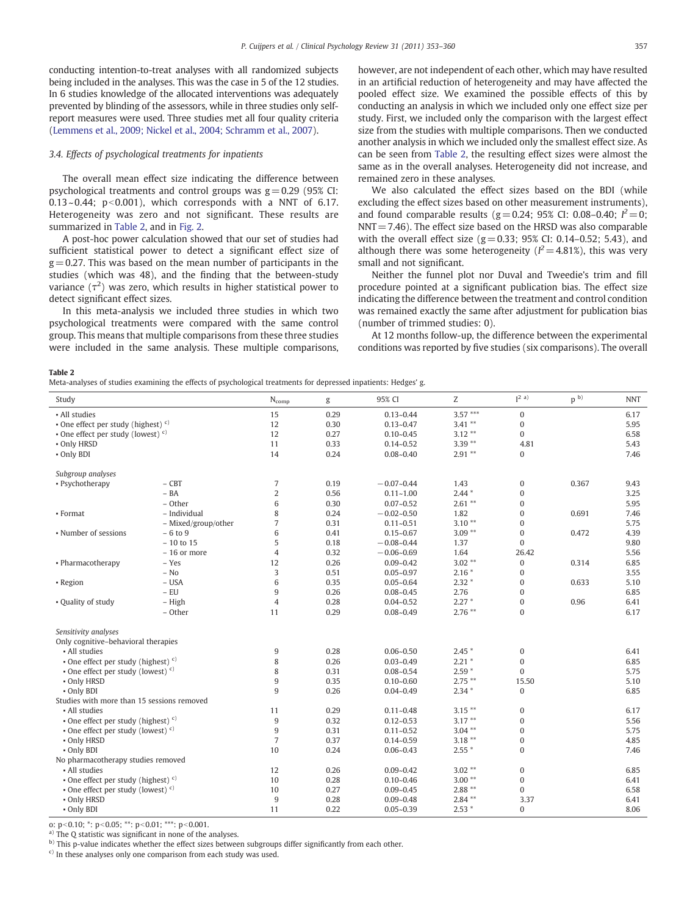<span id="page-4-0"></span>conducting intention-to-treat analyses with all randomized subjects being included in the analyses. This was the case in 5 of the 12 studies. In 6 studies knowledge of the allocated interventions was adequately prevented by blinding of the assessors, while in three studies only selfreport measures were used. Three studies met all four quality criteria [\(Lemmens et al., 2009; Nickel et al., 2004; Schramm et al., 2007](#page-6-0)).

# 3.4. Effects of psychological treatments for inpatients

The overall mean effect size indicating the difference between psychological treatments and control groups was  $g = 0.29$  (95% CI:  $0.13 \sim 0.44$ ; p $\leq 0.001$ ), which corresponds with a NNT of 6.17. Heterogeneity was zero and not significant. These results are summarized in Table 2, and in [Fig. 2](#page-5-0).

A post-hoc power calculation showed that our set of studies had sufficient statistical power to detect a significant effect size of  $g = 0.27$ . This was based on the mean number of participants in the studies (which was 48), and the finding that the between-study variance  $(\tau^2)$  was zero, which results in higher statistical power to detect significant effect sizes.

In this meta-analysis we included three studies in which two psychological treatments were compared with the same control group. This means that multiple comparisons from these three studies were included in the same analysis. These multiple comparisons, however, are not independent of each other, which may have resulted in an artificial reduction of heterogeneity and may have affected the pooled effect size. We examined the possible effects of this by conducting an analysis in which we included only one effect size per study. First, we included only the comparison with the largest effect size from the studies with multiple comparisons. Then we conducted another analysis in which we included only the smallest effect size. As can be seen from Table 2, the resulting effect sizes were almost the same as in the overall analyses. Heterogeneity did not increase, and remained zero in these analyses.

We also calculated the effect sizes based on the BDI (while excluding the effect sizes based on other measurement instruments), and found comparable results (g = 0.24; 95% CI: 0.08–0.40;  $l^2 = 0$ ;  $NNT = 7.46$ ). The effect size based on the HRSD was also comparable with the overall effect size  $(g= 0.33; 95\%$  CI: 0.14–0.52; 5.43), and although there was some heterogeneity ( $l^2 = 4.81\%$ ), this was very small and not significant.

Neither the funnel plot nor Duval and Tweedie's trim and fill procedure pointed at a significant publication bias. The effect size indicating the difference between the treatment and control condition was remained exactly the same after adjustment for publication bias (number of trimmed studies: 0).

At 12 months follow-up, the difference between the experimental conditions was reported by five studies (six comparisons). The overall

Table 2

Meta-analyses of studies examining the effects of psychological treatments for depressed inpatients: Hedges' g.

| $3.57***$<br>$\boldsymbol{0}$<br>• All studies<br>15<br>0.29<br>$0.13 - 0.44$<br>6.17<br>$3.41**$<br>• One effect per study (highest) $c$ )<br>12<br>$\boldsymbol{0}$<br>0.30<br>$0.13 - 0.47$<br>5.95<br>$3.12**$<br>$\boldsymbol{0}$<br>6.58<br>• One effect per study (lowest) $c$ )<br>12<br>0.27<br>$0.10 - 0.45$<br>$3.39**$<br>11<br>0.33<br>$0.14 - 0.52$<br>4.81<br>5.43<br>• Only HRSD<br>14<br>0.24<br>$0.08 - 0.40$<br>$2.91**$<br>$\bf{0}$<br>• Only BDI<br>7.46<br>Subgroup analyses<br>$\overline{7}$<br>$-CBT$<br>1.43<br>$\boldsymbol{0}$<br>• Psychotherapy<br>0.19<br>$-0.07 - 0.44$<br>0.367<br>9.43<br>$- BA$<br>$\overline{2}$<br>0.56<br>$2.44*$<br>$\boldsymbol{0}$<br>$0.11 - 1.00$<br>3.25<br>6<br>$2.61**$<br>- Other<br>0.30<br>$0.07 - 0.52$<br>$\mathbf{0}$<br>5.95<br>8<br>- Individual<br>0.24<br>$-0.02 - 0.50$<br>1.82<br>$\mathbf{0}$<br>0.691<br>7.46<br>• Format<br>$\overline{7}$<br>$3.10**$<br>0.31<br>$\mathbf{0}$<br>5.75<br>- Mixed/group/other<br>$0.11 - 0.51$<br>6<br>$3.09**$<br>$\boldsymbol{0}$<br>4.39<br>• Number of sessions<br>$-6$ to 9<br>0.41<br>$0.15 - 0.67$<br>0.472<br>5<br>$-10$ to 15<br>0.18<br>$-0.08 - 0.44$<br>$\mathbf{0}$<br>9.80<br>1.37<br>$\overline{4}$<br>0.32<br>$-0.06 - 0.69$<br>1.64<br>26.42<br>5.56<br>- 16 or more<br>$3.02**$<br>12<br>0.26<br>$0.09 - 0.42$<br>$\boldsymbol{0}$<br>6.85<br>• Pharmacotherapy<br>- Yes<br>0.314<br>3<br>$-$ No<br>0.51<br>$0.05 - 0.97$<br>$2.16*$<br>$\boldsymbol{0}$<br>3.55<br>$\,6\,$<br>$-$ USA<br>0.35<br>$0.05 - 0.64$<br>$2.32*$<br>$\mathbf{0}$<br>0.633<br>5.10<br>- Region<br>$-$ EU<br>$\boldsymbol{9}$<br>0.26<br>$0.08 - 0.45$<br>2.76<br>$\Omega$<br>6.85<br>$\overline{4}$<br>0.28<br>$2.27*$<br>$\mathbf{0}$<br>• Quality of study<br>- High<br>$0.04 - 0.52$<br>0.96<br>6.41<br>$2.76$ **<br>$\mathbf{0}$<br>- Other<br>11<br>0.29<br>$0.08 - 0.49$<br>6.17<br>Sensitivity analyses<br>Only cognitive-behavioral therapies<br>$\boldsymbol{9}$<br>0.28<br>$2.45*$<br>$0.06 - 0.50$<br>$\boldsymbol{0}$<br>• All studies<br>6.41<br>8<br>$\boldsymbol{0}$<br>• One effect per study (highest) $c$ )<br>0.26<br>$0.03 - 0.49$<br>$2.21*$<br>6.85<br>• One effect per study (lowest) $c$ )<br>8<br>$2.59*$<br>$\Omega$<br>0.31<br>$0.08 - 0.54$<br>5.75<br>$\boldsymbol{9}$<br>$2.75$ **<br>• Only HRSD<br>0.35<br>$0.10 - 0.60$<br>15.50<br>5.10<br>9<br>• Only BDI<br>0.26<br>$0.04 - 0.49$<br>$2.34*$<br>$\mathbf{0}$<br>6.85<br>Studies with more than 15 sessions removed<br>0.29<br>$3.15***$<br>$\boldsymbol{0}$<br>- All studies<br>11<br>$0.11 - 0.48$<br>6.17<br>$\boldsymbol{9}$<br>0.32<br>$3.17**$<br>$\mathbf{0}$<br>• One effect per study (highest) $c$ )<br>$0.12 - 0.53$<br>5.56<br>$\boldsymbol{9}$<br>• One effect per study (lowest) $c$ )<br>0.31<br>$0.11 - 0.52$<br>$3.04***$<br>$\Omega$<br>5.75<br>$\overline{7}$<br>0.37<br>$0.14 - 0.59$<br>$3.18**$<br>$\boldsymbol{0}$<br>• Only HRSD<br>4.85<br>10<br>$\mathbf{0}$<br>• Only BDI<br>0.24<br>$0.06 - 0.43$<br>$2.55*$<br>7.46<br>No pharmacotherapy studies removed<br>• All studies<br>12<br>0.26<br>$0.09 - 0.42$<br>$3.02$ **<br>$\boldsymbol{0}$<br>6.85<br>$\mathbf{0}$<br>• One effect per study (highest) $c$ )<br>10<br>0.28<br>$3.00**$<br>$0.10 - 0.46$<br>6.41<br>10<br>0.27<br>$2.88***$<br>$\mathbf{0}$<br>6.58<br>• One effect per study (lowest) $c$ )<br>$0.09 - 0.45$<br>$\boldsymbol{9}$<br>0.28<br>$2.84***$<br>3.37<br>• Only HRSD<br>$0.09 - 0.48$<br>6.41<br>11<br>0.22<br>$2.53*$<br>$\mathbf{0}$<br>8.06<br>• Only BDI<br>$0.05 - 0.39$ | Study | new analyses of statics examining the enects of psychological treatments for aepressed inpatients, ricages y | $N_{comp}$ | g | 95% CI | Z | I <sup>2</sup> a) | D <sub>b</sub> | <b>NNT</b> |
|-------------------------------------------------------------------------------------------------------------------------------------------------------------------------------------------------------------------------------------------------------------------------------------------------------------------------------------------------------------------------------------------------------------------------------------------------------------------------------------------------------------------------------------------------------------------------------------------------------------------------------------------------------------------------------------------------------------------------------------------------------------------------------------------------------------------------------------------------------------------------------------------------------------------------------------------------------------------------------------------------------------------------------------------------------------------------------------------------------------------------------------------------------------------------------------------------------------------------------------------------------------------------------------------------------------------------------------------------------------------------------------------------------------------------------------------------------------------------------------------------------------------------------------------------------------------------------------------------------------------------------------------------------------------------------------------------------------------------------------------------------------------------------------------------------------------------------------------------------------------------------------------------------------------------------------------------------------------------------------------------------------------------------------------------------------------------------------------------------------------------------------------------------------------------------------------------------------------------------------------------------------------------------------------------------------------------------------------------------------------------------------------------------------------------------------------------------------------------------------------------------------------------------------------------------------------------------------------------------------------------------------------------------------------------------------------------------------------------------------------------------------------------------------------------------------------------------------------------------------------------------------------------------------------------------------------------------------------------------------------------------------------------------------------------------------------------------------------------------------------------------------------------------------------------------------------------------------------------------------------------------------------------------------------------------------------------------------------------------------------------------------------------------------------------------------------------------------------------------------------------------------------------------------------------------------------------------|-------|--------------------------------------------------------------------------------------------------------------|------------|---|--------|---|-------------------|----------------|------------|
|                                                                                                                                                                                                                                                                                                                                                                                                                                                                                                                                                                                                                                                                                                                                                                                                                                                                                                                                                                                                                                                                                                                                                                                                                                                                                                                                                                                                                                                                                                                                                                                                                                                                                                                                                                                                                                                                                                                                                                                                                                                                                                                                                                                                                                                                                                                                                                                                                                                                                                                                                                                                                                                                                                                                                                                                                                                                                                                                                                                                                                                                                                                                                                                                                                                                                                                                                                                                                                                                                                                                                                               |       |                                                                                                              |            |   |        |   |                   |                |            |
|                                                                                                                                                                                                                                                                                                                                                                                                                                                                                                                                                                                                                                                                                                                                                                                                                                                                                                                                                                                                                                                                                                                                                                                                                                                                                                                                                                                                                                                                                                                                                                                                                                                                                                                                                                                                                                                                                                                                                                                                                                                                                                                                                                                                                                                                                                                                                                                                                                                                                                                                                                                                                                                                                                                                                                                                                                                                                                                                                                                                                                                                                                                                                                                                                                                                                                                                                                                                                                                                                                                                                                               |       |                                                                                                              |            |   |        |   |                   |                |            |
|                                                                                                                                                                                                                                                                                                                                                                                                                                                                                                                                                                                                                                                                                                                                                                                                                                                                                                                                                                                                                                                                                                                                                                                                                                                                                                                                                                                                                                                                                                                                                                                                                                                                                                                                                                                                                                                                                                                                                                                                                                                                                                                                                                                                                                                                                                                                                                                                                                                                                                                                                                                                                                                                                                                                                                                                                                                                                                                                                                                                                                                                                                                                                                                                                                                                                                                                                                                                                                                                                                                                                                               |       |                                                                                                              |            |   |        |   |                   |                |            |
|                                                                                                                                                                                                                                                                                                                                                                                                                                                                                                                                                                                                                                                                                                                                                                                                                                                                                                                                                                                                                                                                                                                                                                                                                                                                                                                                                                                                                                                                                                                                                                                                                                                                                                                                                                                                                                                                                                                                                                                                                                                                                                                                                                                                                                                                                                                                                                                                                                                                                                                                                                                                                                                                                                                                                                                                                                                                                                                                                                                                                                                                                                                                                                                                                                                                                                                                                                                                                                                                                                                                                                               |       |                                                                                                              |            |   |        |   |                   |                |            |
|                                                                                                                                                                                                                                                                                                                                                                                                                                                                                                                                                                                                                                                                                                                                                                                                                                                                                                                                                                                                                                                                                                                                                                                                                                                                                                                                                                                                                                                                                                                                                                                                                                                                                                                                                                                                                                                                                                                                                                                                                                                                                                                                                                                                                                                                                                                                                                                                                                                                                                                                                                                                                                                                                                                                                                                                                                                                                                                                                                                                                                                                                                                                                                                                                                                                                                                                                                                                                                                                                                                                                                               |       |                                                                                                              |            |   |        |   |                   |                |            |
|                                                                                                                                                                                                                                                                                                                                                                                                                                                                                                                                                                                                                                                                                                                                                                                                                                                                                                                                                                                                                                                                                                                                                                                                                                                                                                                                                                                                                                                                                                                                                                                                                                                                                                                                                                                                                                                                                                                                                                                                                                                                                                                                                                                                                                                                                                                                                                                                                                                                                                                                                                                                                                                                                                                                                                                                                                                                                                                                                                                                                                                                                                                                                                                                                                                                                                                                                                                                                                                                                                                                                                               |       |                                                                                                              |            |   |        |   |                   |                |            |
|                                                                                                                                                                                                                                                                                                                                                                                                                                                                                                                                                                                                                                                                                                                                                                                                                                                                                                                                                                                                                                                                                                                                                                                                                                                                                                                                                                                                                                                                                                                                                                                                                                                                                                                                                                                                                                                                                                                                                                                                                                                                                                                                                                                                                                                                                                                                                                                                                                                                                                                                                                                                                                                                                                                                                                                                                                                                                                                                                                                                                                                                                                                                                                                                                                                                                                                                                                                                                                                                                                                                                                               |       |                                                                                                              |            |   |        |   |                   |                |            |
|                                                                                                                                                                                                                                                                                                                                                                                                                                                                                                                                                                                                                                                                                                                                                                                                                                                                                                                                                                                                                                                                                                                                                                                                                                                                                                                                                                                                                                                                                                                                                                                                                                                                                                                                                                                                                                                                                                                                                                                                                                                                                                                                                                                                                                                                                                                                                                                                                                                                                                                                                                                                                                                                                                                                                                                                                                                                                                                                                                                                                                                                                                                                                                                                                                                                                                                                                                                                                                                                                                                                                                               |       |                                                                                                              |            |   |        |   |                   |                |            |
|                                                                                                                                                                                                                                                                                                                                                                                                                                                                                                                                                                                                                                                                                                                                                                                                                                                                                                                                                                                                                                                                                                                                                                                                                                                                                                                                                                                                                                                                                                                                                                                                                                                                                                                                                                                                                                                                                                                                                                                                                                                                                                                                                                                                                                                                                                                                                                                                                                                                                                                                                                                                                                                                                                                                                                                                                                                                                                                                                                                                                                                                                                                                                                                                                                                                                                                                                                                                                                                                                                                                                                               |       |                                                                                                              |            |   |        |   |                   |                |            |
|                                                                                                                                                                                                                                                                                                                                                                                                                                                                                                                                                                                                                                                                                                                                                                                                                                                                                                                                                                                                                                                                                                                                                                                                                                                                                                                                                                                                                                                                                                                                                                                                                                                                                                                                                                                                                                                                                                                                                                                                                                                                                                                                                                                                                                                                                                                                                                                                                                                                                                                                                                                                                                                                                                                                                                                                                                                                                                                                                                                                                                                                                                                                                                                                                                                                                                                                                                                                                                                                                                                                                                               |       |                                                                                                              |            |   |        |   |                   |                |            |
|                                                                                                                                                                                                                                                                                                                                                                                                                                                                                                                                                                                                                                                                                                                                                                                                                                                                                                                                                                                                                                                                                                                                                                                                                                                                                                                                                                                                                                                                                                                                                                                                                                                                                                                                                                                                                                                                                                                                                                                                                                                                                                                                                                                                                                                                                                                                                                                                                                                                                                                                                                                                                                                                                                                                                                                                                                                                                                                                                                                                                                                                                                                                                                                                                                                                                                                                                                                                                                                                                                                                                                               |       |                                                                                                              |            |   |        |   |                   |                |            |
|                                                                                                                                                                                                                                                                                                                                                                                                                                                                                                                                                                                                                                                                                                                                                                                                                                                                                                                                                                                                                                                                                                                                                                                                                                                                                                                                                                                                                                                                                                                                                                                                                                                                                                                                                                                                                                                                                                                                                                                                                                                                                                                                                                                                                                                                                                                                                                                                                                                                                                                                                                                                                                                                                                                                                                                                                                                                                                                                                                                                                                                                                                                                                                                                                                                                                                                                                                                                                                                                                                                                                                               |       |                                                                                                              |            |   |        |   |                   |                |            |
|                                                                                                                                                                                                                                                                                                                                                                                                                                                                                                                                                                                                                                                                                                                                                                                                                                                                                                                                                                                                                                                                                                                                                                                                                                                                                                                                                                                                                                                                                                                                                                                                                                                                                                                                                                                                                                                                                                                                                                                                                                                                                                                                                                                                                                                                                                                                                                                                                                                                                                                                                                                                                                                                                                                                                                                                                                                                                                                                                                                                                                                                                                                                                                                                                                                                                                                                                                                                                                                                                                                                                                               |       |                                                                                                              |            |   |        |   |                   |                |            |
|                                                                                                                                                                                                                                                                                                                                                                                                                                                                                                                                                                                                                                                                                                                                                                                                                                                                                                                                                                                                                                                                                                                                                                                                                                                                                                                                                                                                                                                                                                                                                                                                                                                                                                                                                                                                                                                                                                                                                                                                                                                                                                                                                                                                                                                                                                                                                                                                                                                                                                                                                                                                                                                                                                                                                                                                                                                                                                                                                                                                                                                                                                                                                                                                                                                                                                                                                                                                                                                                                                                                                                               |       |                                                                                                              |            |   |        |   |                   |                |            |
|                                                                                                                                                                                                                                                                                                                                                                                                                                                                                                                                                                                                                                                                                                                                                                                                                                                                                                                                                                                                                                                                                                                                                                                                                                                                                                                                                                                                                                                                                                                                                                                                                                                                                                                                                                                                                                                                                                                                                                                                                                                                                                                                                                                                                                                                                                                                                                                                                                                                                                                                                                                                                                                                                                                                                                                                                                                                                                                                                                                                                                                                                                                                                                                                                                                                                                                                                                                                                                                                                                                                                                               |       |                                                                                                              |            |   |        |   |                   |                |            |
|                                                                                                                                                                                                                                                                                                                                                                                                                                                                                                                                                                                                                                                                                                                                                                                                                                                                                                                                                                                                                                                                                                                                                                                                                                                                                                                                                                                                                                                                                                                                                                                                                                                                                                                                                                                                                                                                                                                                                                                                                                                                                                                                                                                                                                                                                                                                                                                                                                                                                                                                                                                                                                                                                                                                                                                                                                                                                                                                                                                                                                                                                                                                                                                                                                                                                                                                                                                                                                                                                                                                                                               |       |                                                                                                              |            |   |        |   |                   |                |            |
|                                                                                                                                                                                                                                                                                                                                                                                                                                                                                                                                                                                                                                                                                                                                                                                                                                                                                                                                                                                                                                                                                                                                                                                                                                                                                                                                                                                                                                                                                                                                                                                                                                                                                                                                                                                                                                                                                                                                                                                                                                                                                                                                                                                                                                                                                                                                                                                                                                                                                                                                                                                                                                                                                                                                                                                                                                                                                                                                                                                                                                                                                                                                                                                                                                                                                                                                                                                                                                                                                                                                                                               |       |                                                                                                              |            |   |        |   |                   |                |            |
|                                                                                                                                                                                                                                                                                                                                                                                                                                                                                                                                                                                                                                                                                                                                                                                                                                                                                                                                                                                                                                                                                                                                                                                                                                                                                                                                                                                                                                                                                                                                                                                                                                                                                                                                                                                                                                                                                                                                                                                                                                                                                                                                                                                                                                                                                                                                                                                                                                                                                                                                                                                                                                                                                                                                                                                                                                                                                                                                                                                                                                                                                                                                                                                                                                                                                                                                                                                                                                                                                                                                                                               |       |                                                                                                              |            |   |        |   |                   |                |            |
|                                                                                                                                                                                                                                                                                                                                                                                                                                                                                                                                                                                                                                                                                                                                                                                                                                                                                                                                                                                                                                                                                                                                                                                                                                                                                                                                                                                                                                                                                                                                                                                                                                                                                                                                                                                                                                                                                                                                                                                                                                                                                                                                                                                                                                                                                                                                                                                                                                                                                                                                                                                                                                                                                                                                                                                                                                                                                                                                                                                                                                                                                                                                                                                                                                                                                                                                                                                                                                                                                                                                                                               |       |                                                                                                              |            |   |        |   |                   |                |            |
|                                                                                                                                                                                                                                                                                                                                                                                                                                                                                                                                                                                                                                                                                                                                                                                                                                                                                                                                                                                                                                                                                                                                                                                                                                                                                                                                                                                                                                                                                                                                                                                                                                                                                                                                                                                                                                                                                                                                                                                                                                                                                                                                                                                                                                                                                                                                                                                                                                                                                                                                                                                                                                                                                                                                                                                                                                                                                                                                                                                                                                                                                                                                                                                                                                                                                                                                                                                                                                                                                                                                                                               |       |                                                                                                              |            |   |        |   |                   |                |            |
|                                                                                                                                                                                                                                                                                                                                                                                                                                                                                                                                                                                                                                                                                                                                                                                                                                                                                                                                                                                                                                                                                                                                                                                                                                                                                                                                                                                                                                                                                                                                                                                                                                                                                                                                                                                                                                                                                                                                                                                                                                                                                                                                                                                                                                                                                                                                                                                                                                                                                                                                                                                                                                                                                                                                                                                                                                                                                                                                                                                                                                                                                                                                                                                                                                                                                                                                                                                                                                                                                                                                                                               |       |                                                                                                              |            |   |        |   |                   |                |            |
|                                                                                                                                                                                                                                                                                                                                                                                                                                                                                                                                                                                                                                                                                                                                                                                                                                                                                                                                                                                                                                                                                                                                                                                                                                                                                                                                                                                                                                                                                                                                                                                                                                                                                                                                                                                                                                                                                                                                                                                                                                                                                                                                                                                                                                                                                                                                                                                                                                                                                                                                                                                                                                                                                                                                                                                                                                                                                                                                                                                                                                                                                                                                                                                                                                                                                                                                                                                                                                                                                                                                                                               |       |                                                                                                              |            |   |        |   |                   |                |            |
|                                                                                                                                                                                                                                                                                                                                                                                                                                                                                                                                                                                                                                                                                                                                                                                                                                                                                                                                                                                                                                                                                                                                                                                                                                                                                                                                                                                                                                                                                                                                                                                                                                                                                                                                                                                                                                                                                                                                                                                                                                                                                                                                                                                                                                                                                                                                                                                                                                                                                                                                                                                                                                                                                                                                                                                                                                                                                                                                                                                                                                                                                                                                                                                                                                                                                                                                                                                                                                                                                                                                                                               |       |                                                                                                              |            |   |        |   |                   |                |            |
|                                                                                                                                                                                                                                                                                                                                                                                                                                                                                                                                                                                                                                                                                                                                                                                                                                                                                                                                                                                                                                                                                                                                                                                                                                                                                                                                                                                                                                                                                                                                                                                                                                                                                                                                                                                                                                                                                                                                                                                                                                                                                                                                                                                                                                                                                                                                                                                                                                                                                                                                                                                                                                                                                                                                                                                                                                                                                                                                                                                                                                                                                                                                                                                                                                                                                                                                                                                                                                                                                                                                                                               |       |                                                                                                              |            |   |        |   |                   |                |            |
|                                                                                                                                                                                                                                                                                                                                                                                                                                                                                                                                                                                                                                                                                                                                                                                                                                                                                                                                                                                                                                                                                                                                                                                                                                                                                                                                                                                                                                                                                                                                                                                                                                                                                                                                                                                                                                                                                                                                                                                                                                                                                                                                                                                                                                                                                                                                                                                                                                                                                                                                                                                                                                                                                                                                                                                                                                                                                                                                                                                                                                                                                                                                                                                                                                                                                                                                                                                                                                                                                                                                                                               |       |                                                                                                              |            |   |        |   |                   |                |            |
|                                                                                                                                                                                                                                                                                                                                                                                                                                                                                                                                                                                                                                                                                                                                                                                                                                                                                                                                                                                                                                                                                                                                                                                                                                                                                                                                                                                                                                                                                                                                                                                                                                                                                                                                                                                                                                                                                                                                                                                                                                                                                                                                                                                                                                                                                                                                                                                                                                                                                                                                                                                                                                                                                                                                                                                                                                                                                                                                                                                                                                                                                                                                                                                                                                                                                                                                                                                                                                                                                                                                                                               |       |                                                                                                              |            |   |        |   |                   |                |            |
|                                                                                                                                                                                                                                                                                                                                                                                                                                                                                                                                                                                                                                                                                                                                                                                                                                                                                                                                                                                                                                                                                                                                                                                                                                                                                                                                                                                                                                                                                                                                                                                                                                                                                                                                                                                                                                                                                                                                                                                                                                                                                                                                                                                                                                                                                                                                                                                                                                                                                                                                                                                                                                                                                                                                                                                                                                                                                                                                                                                                                                                                                                                                                                                                                                                                                                                                                                                                                                                                                                                                                                               |       |                                                                                                              |            |   |        |   |                   |                |            |
|                                                                                                                                                                                                                                                                                                                                                                                                                                                                                                                                                                                                                                                                                                                                                                                                                                                                                                                                                                                                                                                                                                                                                                                                                                                                                                                                                                                                                                                                                                                                                                                                                                                                                                                                                                                                                                                                                                                                                                                                                                                                                                                                                                                                                                                                                                                                                                                                                                                                                                                                                                                                                                                                                                                                                                                                                                                                                                                                                                                                                                                                                                                                                                                                                                                                                                                                                                                                                                                                                                                                                                               |       |                                                                                                              |            |   |        |   |                   |                |            |
|                                                                                                                                                                                                                                                                                                                                                                                                                                                                                                                                                                                                                                                                                                                                                                                                                                                                                                                                                                                                                                                                                                                                                                                                                                                                                                                                                                                                                                                                                                                                                                                                                                                                                                                                                                                                                                                                                                                                                                                                                                                                                                                                                                                                                                                                                                                                                                                                                                                                                                                                                                                                                                                                                                                                                                                                                                                                                                                                                                                                                                                                                                                                                                                                                                                                                                                                                                                                                                                                                                                                                                               |       |                                                                                                              |            |   |        |   |                   |                |            |
|                                                                                                                                                                                                                                                                                                                                                                                                                                                                                                                                                                                                                                                                                                                                                                                                                                                                                                                                                                                                                                                                                                                                                                                                                                                                                                                                                                                                                                                                                                                                                                                                                                                                                                                                                                                                                                                                                                                                                                                                                                                                                                                                                                                                                                                                                                                                                                                                                                                                                                                                                                                                                                                                                                                                                                                                                                                                                                                                                                                                                                                                                                                                                                                                                                                                                                                                                                                                                                                                                                                                                                               |       |                                                                                                              |            |   |        |   |                   |                |            |
|                                                                                                                                                                                                                                                                                                                                                                                                                                                                                                                                                                                                                                                                                                                                                                                                                                                                                                                                                                                                                                                                                                                                                                                                                                                                                                                                                                                                                                                                                                                                                                                                                                                                                                                                                                                                                                                                                                                                                                                                                                                                                                                                                                                                                                                                                                                                                                                                                                                                                                                                                                                                                                                                                                                                                                                                                                                                                                                                                                                                                                                                                                                                                                                                                                                                                                                                                                                                                                                                                                                                                                               |       |                                                                                                              |            |   |        |   |                   |                |            |
|                                                                                                                                                                                                                                                                                                                                                                                                                                                                                                                                                                                                                                                                                                                                                                                                                                                                                                                                                                                                                                                                                                                                                                                                                                                                                                                                                                                                                                                                                                                                                                                                                                                                                                                                                                                                                                                                                                                                                                                                                                                                                                                                                                                                                                                                                                                                                                                                                                                                                                                                                                                                                                                                                                                                                                                                                                                                                                                                                                                                                                                                                                                                                                                                                                                                                                                                                                                                                                                                                                                                                                               |       |                                                                                                              |            |   |        |   |                   |                |            |
|                                                                                                                                                                                                                                                                                                                                                                                                                                                                                                                                                                                                                                                                                                                                                                                                                                                                                                                                                                                                                                                                                                                                                                                                                                                                                                                                                                                                                                                                                                                                                                                                                                                                                                                                                                                                                                                                                                                                                                                                                                                                                                                                                                                                                                                                                                                                                                                                                                                                                                                                                                                                                                                                                                                                                                                                                                                                                                                                                                                                                                                                                                                                                                                                                                                                                                                                                                                                                                                                                                                                                                               |       |                                                                                                              |            |   |        |   |                   |                |            |
|                                                                                                                                                                                                                                                                                                                                                                                                                                                                                                                                                                                                                                                                                                                                                                                                                                                                                                                                                                                                                                                                                                                                                                                                                                                                                                                                                                                                                                                                                                                                                                                                                                                                                                                                                                                                                                                                                                                                                                                                                                                                                                                                                                                                                                                                                                                                                                                                                                                                                                                                                                                                                                                                                                                                                                                                                                                                                                                                                                                                                                                                                                                                                                                                                                                                                                                                                                                                                                                                                                                                                                               |       |                                                                                                              |            |   |        |   |                   |                |            |
|                                                                                                                                                                                                                                                                                                                                                                                                                                                                                                                                                                                                                                                                                                                                                                                                                                                                                                                                                                                                                                                                                                                                                                                                                                                                                                                                                                                                                                                                                                                                                                                                                                                                                                                                                                                                                                                                                                                                                                                                                                                                                                                                                                                                                                                                                                                                                                                                                                                                                                                                                                                                                                                                                                                                                                                                                                                                                                                                                                                                                                                                                                                                                                                                                                                                                                                                                                                                                                                                                                                                                                               |       |                                                                                                              |            |   |        |   |                   |                |            |
|                                                                                                                                                                                                                                                                                                                                                                                                                                                                                                                                                                                                                                                                                                                                                                                                                                                                                                                                                                                                                                                                                                                                                                                                                                                                                                                                                                                                                                                                                                                                                                                                                                                                                                                                                                                                                                                                                                                                                                                                                                                                                                                                                                                                                                                                                                                                                                                                                                                                                                                                                                                                                                                                                                                                                                                                                                                                                                                                                                                                                                                                                                                                                                                                                                                                                                                                                                                                                                                                                                                                                                               |       |                                                                                                              |            |   |        |   |                   |                |            |
|                                                                                                                                                                                                                                                                                                                                                                                                                                                                                                                                                                                                                                                                                                                                                                                                                                                                                                                                                                                                                                                                                                                                                                                                                                                                                                                                                                                                                                                                                                                                                                                                                                                                                                                                                                                                                                                                                                                                                                                                                                                                                                                                                                                                                                                                                                                                                                                                                                                                                                                                                                                                                                                                                                                                                                                                                                                                                                                                                                                                                                                                                                                                                                                                                                                                                                                                                                                                                                                                                                                                                                               |       |                                                                                                              |            |   |        |   |                   |                |            |
|                                                                                                                                                                                                                                                                                                                                                                                                                                                                                                                                                                                                                                                                                                                                                                                                                                                                                                                                                                                                                                                                                                                                                                                                                                                                                                                                                                                                                                                                                                                                                                                                                                                                                                                                                                                                                                                                                                                                                                                                                                                                                                                                                                                                                                                                                                                                                                                                                                                                                                                                                                                                                                                                                                                                                                                                                                                                                                                                                                                                                                                                                                                                                                                                                                                                                                                                                                                                                                                                                                                                                                               |       |                                                                                                              |            |   |        |   |                   |                |            |
|                                                                                                                                                                                                                                                                                                                                                                                                                                                                                                                                                                                                                                                                                                                                                                                                                                                                                                                                                                                                                                                                                                                                                                                                                                                                                                                                                                                                                                                                                                                                                                                                                                                                                                                                                                                                                                                                                                                                                                                                                                                                                                                                                                                                                                                                                                                                                                                                                                                                                                                                                                                                                                                                                                                                                                                                                                                                                                                                                                                                                                                                                                                                                                                                                                                                                                                                                                                                                                                                                                                                                                               |       |                                                                                                              |            |   |        |   |                   |                |            |
|                                                                                                                                                                                                                                                                                                                                                                                                                                                                                                                                                                                                                                                                                                                                                                                                                                                                                                                                                                                                                                                                                                                                                                                                                                                                                                                                                                                                                                                                                                                                                                                                                                                                                                                                                                                                                                                                                                                                                                                                                                                                                                                                                                                                                                                                                                                                                                                                                                                                                                                                                                                                                                                                                                                                                                                                                                                                                                                                                                                                                                                                                                                                                                                                                                                                                                                                                                                                                                                                                                                                                                               |       |                                                                                                              |            |   |        |   |                   |                |            |

o:  $p<0.10$ ; \*:  $p<0.05$ ; \*\*:  $p<0.01$ ; \*\*\*:  $p<0.001$ .

a) The Q statistic was significant in none of the analyses.

b) This p-value indicates whether the effect sizes between subgroups differ significantly from each other.

c) In these analyses only one comparison from each study was used.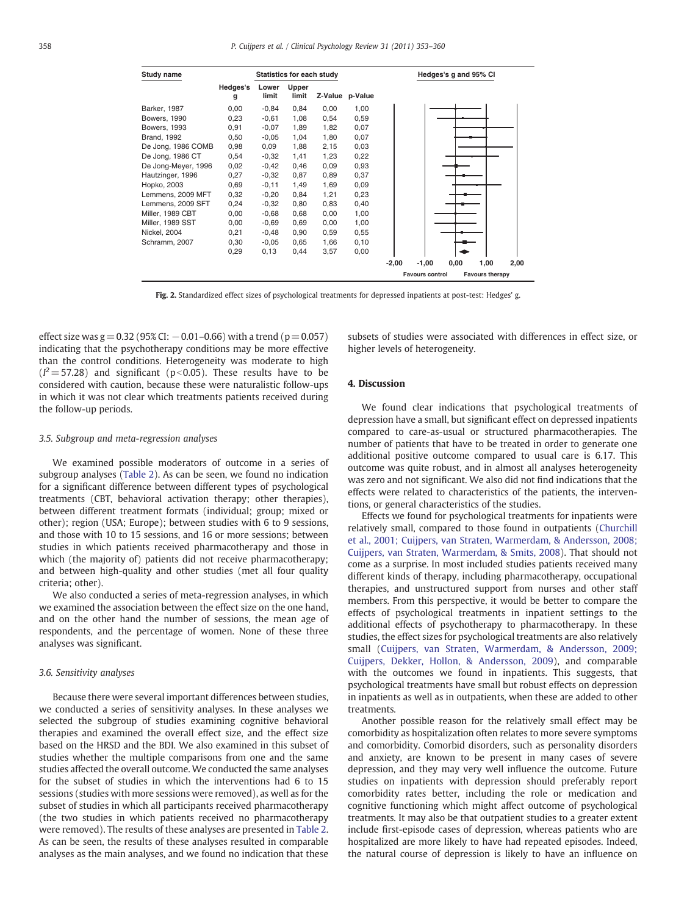<span id="page-5-0"></span>

| Study name          |               | Statistics for each study |                |         |         | Hedges's g and 95% CI |                        |      |                        |      |
|---------------------|---------------|---------------------------|----------------|---------|---------|-----------------------|------------------------|------|------------------------|------|
|                     | Hedges's<br>g | Lower<br>limit            | Upper<br>limit | Z-Value | p-Value |                       |                        |      |                        |      |
| Barker, 1987        | 0,00          | $-0.84$                   | 0,84           | 0,00    | 1,00    |                       |                        |      |                        |      |
| Bowers, 1990        | 0,23          | $-0,61$                   | 1,08           | 0,54    | 0,59    |                       |                        |      |                        |      |
| <b>Bowers, 1993</b> | 0,91          | $-0.07$                   | 1,89           | 1,82    | 0,07    |                       |                        |      |                        |      |
| <b>Brand, 1992</b>  | 0,50          | $-0.05$                   | 1,04           | 1,80    | 0,07    |                       |                        |      |                        |      |
| De Jong, 1986 COMB  | 0,98          | 0,09                      | 1,88           | 2,15    | 0,03    |                       |                        |      |                        |      |
| De Jong, 1986 CT    | 0,54          | $-0,32$                   | 1,41           | 1,23    | 0,22    |                       |                        |      |                        |      |
| De Jong-Meyer, 1996 | 0,02          | $-0,42$                   | 0,46           | 0,09    | 0,93    |                       |                        |      |                        |      |
| Hautzinger, 1996    | 0,27          | $-0,32$                   | 0,87           | 0,89    | 0,37    |                       |                        |      |                        |      |
| Hopko, 2003         | 0,69          | $-0,11$                   | 1,49           | 1,69    | 0,09    |                       |                        |      |                        |      |
| Lemmens, 2009 MFT   | 0,32          | $-0,20$                   | 0,84           | 1,21    | 0,23    |                       |                        |      |                        |      |
| Lemmens, 2009 SFT   | 0,24          | $-0,32$                   | 0,80           | 0,83    | 0,40    |                       |                        |      |                        |      |
| Miller, 1989 CBT    | 0,00          | $-0.68$                   | 0,68           | 0,00    | 1,00    |                       |                        |      |                        |      |
| Miller, 1989 SST    | 0,00          | $-0.69$                   | 0,69           | 0,00    | 1,00    |                       |                        |      |                        |      |
| Nickel, 2004        | 0,21          | $-0,48$                   | 0,90           | 0,59    | 0,55    |                       |                        |      |                        |      |
| Schramm, 2007       | 0,30          | $-0.05$                   | 0,65           | 1,66    | 0,10    |                       |                        |      |                        |      |
|                     | 0,29          | 0,13                      | 0,44           | 3,57    | 0,00    |                       |                        |      |                        |      |
|                     |               |                           |                |         |         | $-2,00$               | $-1,00$                | 0,00 | 1,00                   | 2,00 |
|                     |               |                           |                |         |         |                       | <b>Favours control</b> |      | <b>Favours therapy</b> |      |

Fig. 2. Standardized effect sizes of psychological treatments for depressed inpatients at post-test: Hedges' g.

effect size was  $g = 0.32$  (95% CI:  $-0.01-0.66$ ) with a trend ( $p = 0.057$ ) indicating that the psychotherapy conditions may be more effective than the control conditions. Heterogeneity was moderate to high  $(I^2 = 57.28)$  and significant (p<0.05). These results have to be considered with caution, because these were naturalistic follow-ups in which it was not clear which treatments patients received during the follow-up periods.

#### 3.5. Subgroup and meta-regression analyses

We examined possible moderators of outcome in a series of subgroup analyses [\(Table 2\)](#page-4-0). As can be seen, we found no indication for a significant difference between different types of psychological treatments (CBT, behavioral activation therapy; other therapies), between different treatment formats (individual; group; mixed or other); region (USA; Europe); between studies with 6 to 9 sessions, and those with 10 to 15 sessions, and 16 or more sessions; between studies in which patients received pharmacotherapy and those in which (the majority of) patients did not receive pharmacotherapy; and between high-quality and other studies (met all four quality criteria; other).

We also conducted a series of meta-regression analyses, in which we examined the association between the effect size on the one hand, and on the other hand the number of sessions, the mean age of respondents, and the percentage of women. None of these three analyses was significant.

### 3.6. Sensitivity analyses

Because there were several important differences between studies, we conducted a series of sensitivity analyses. In these analyses we selected the subgroup of studies examining cognitive behavioral therapies and examined the overall effect size, and the effect size based on the HRSD and the BDI. We also examined in this subset of studies whether the multiple comparisons from one and the same studies affected the overall outcome. We conducted the same analyses for the subset of studies in which the interventions had 6 to 15 sessions (studies with more sessions were removed), as well as for the subset of studies in which all participants received pharmacotherapy (the two studies in which patients received no pharmacotherapy were removed). The results of these analyses are presented in [Table 2.](#page-4-0) As can be seen, the results of these analyses resulted in comparable analyses as the main analyses, and we found no indication that these

subsets of studies were associated with differences in effect size, or higher levels of heterogeneity.

# 4. Discussion

We found clear indications that psychological treatments of depression have a small, but significant effect on depressed inpatients compared to care-as-usual or structured pharmacotherapies. The number of patients that have to be treated in order to generate one additional positive outcome compared to usual care is 6.17. This outcome was quite robust, and in almost all analyses heterogeneity was zero and not significant. We also did not find indications that the effects were related to characteristics of the patients, the interventions, or general characteristics of the studies.

Effects we found for psychological treatments for inpatients were relatively small, compared to those found in outpatients ([Churchill](#page-6-0) [et al., 2001; Cuijpers, van Straten, Warmerdam, & Andersson, 2008;](#page-6-0) [Cuijpers, van Straten, Warmerdam, & Smits, 2008\)](#page-6-0). That should not come as a surprise. In most included studies patients received many different kinds of therapy, including pharmacotherapy, occupational therapies, and unstructured support from nurses and other staff members. From this perspective, it would be better to compare the effects of psychological treatments in inpatient settings to the additional effects of psychotherapy to pharmacotherapy. In these studies, the effect sizes for psychological treatments are also relatively small [\(Cuijpers, van Straten, Warmerdam, & Andersson, 2009;](#page-6-0) [Cuijpers, Dekker, Hollon, & Andersson, 2009\)](#page-6-0), and comparable with the outcomes we found in inpatients. This suggests, that psychological treatments have small but robust effects on depression in inpatients as well as in outpatients, when these are added to other treatments.

Another possible reason for the relatively small effect may be comorbidity as hospitalization often relates to more severe symptoms and comorbidity. Comorbid disorders, such as personality disorders and anxiety, are known to be present in many cases of severe depression, and they may very well influence the outcome. Future studies on inpatients with depression should preferably report comorbidity rates better, including the role or medication and cognitive functioning which might affect outcome of psychological treatments. It may also be that outpatient studies to a greater extent include first-episode cases of depression, whereas patients who are hospitalized are more likely to have had repeated episodes. Indeed, the natural course of depression is likely to have an influence on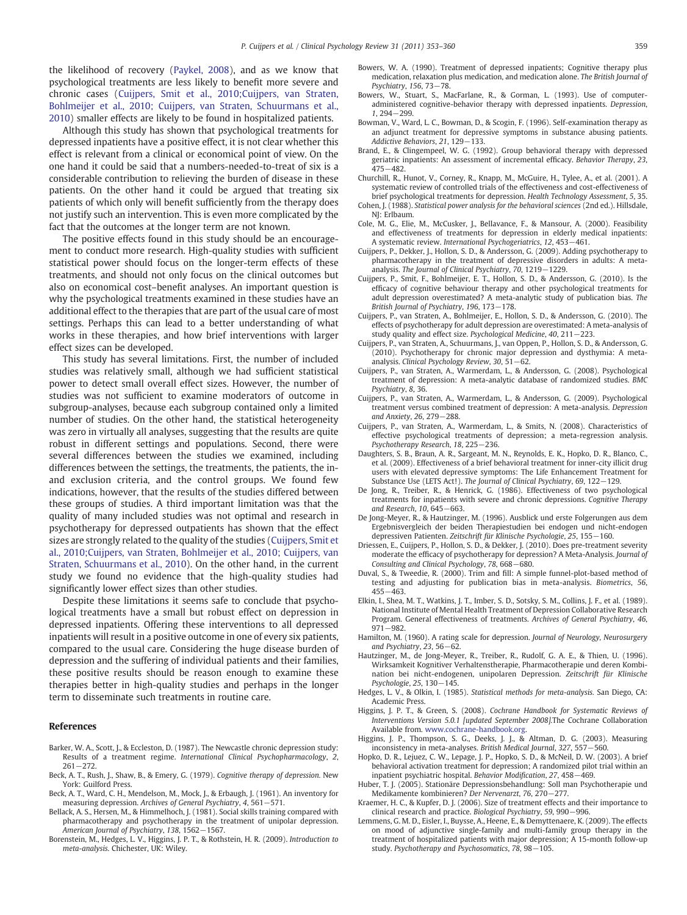<span id="page-6-0"></span>the likelihood of recovery ([Paykel, 2008\)](#page-7-0), and as we know that psychological treatments are less likely to benefit more severe and chronic cases (Cuijpers, Smit et al., 2010;Cuijpers, van Straten, Bohlmeijer et al., 2010; Cuijpers, van Straten, Schuurmans et al., 2010) smaller effects are likely to be found in hospitalized patients.

Although this study has shown that psychological treatments for depressed inpatients have a positive effect, it is not clear whether this effect is relevant from a clinical or economical point of view. On the one hand it could be said that a numbers-needed-to-treat of six is a considerable contribution to relieving the burden of disease in these patients. On the other hand it could be argued that treating six patients of which only will benefit sufficiently from the therapy does not justify such an intervention. This is even more complicated by the fact that the outcomes at the longer term are not known.

The positive effects found in this study should be an encouragement to conduct more research. High-quality studies with sufficient statistical power should focus on the longer-term effects of these treatments, and should not only focus on the clinical outcomes but also on economical cost–benefit analyses. An important question is why the psychological treatments examined in these studies have an additional effect to the therapies that are part of the usual care of most settings. Perhaps this can lead to a better understanding of what works in these therapies, and how brief interventions with larger effect sizes can be developed.

This study has several limitations. First, the number of included studies was relatively small, although we had sufficient statistical power to detect small overall effect sizes. However, the number of studies was not sufficient to examine moderators of outcome in subgroup-analyses, because each subgroup contained only a limited number of studies. On the other hand, the statistical heterogeneity was zero in virtually all analyses, suggesting that the results are quite robust in different settings and populations. Second, there were several differences between the studies we examined, including differences between the settings, the treatments, the patients, the inand exclusion criteria, and the control groups. We found few indications, however, that the results of the studies differed between these groups of studies. A third important limitation was that the quality of many included studies was not optimal and research in psychotherapy for depressed outpatients has shown that the effect sizes are strongly related to the quality of the studies (Cuijpers, Smit et al., 2010;Cuijpers, van Straten, Bohlmeijer et al., 2010; Cuijpers, van Straten, Schuurmans et al., 2010). On the other hand, in the current study we found no evidence that the high-quality studies had significantly lower effect sizes than other studies.

Despite these limitations it seems safe to conclude that psychological treatments have a small but robust effect on depression in depressed inpatients. Offering these interventions to all depressed inpatients will result in a positive outcome in one of every six patients, compared to the usual care. Considering the huge disease burden of depression and the suffering of individual patients and their families, these positive results should be reason enough to examine these therapies better in high-quality studies and perhaps in the longer term to disseminate such treatments in routine care.

### References

- Barker, W. A., Scott, J., & Eccleston, D. (1987). The Newcastle chronic depression study: Results of a treatment regime. International Clinical Psychopharmacology, 2, 261−272.
- Beck, A. T., Rush, J., Shaw, B., & Emery, G. (1979). Cognitive therapy of depression. New York: Guilford Press.
- Beck, A. T., Ward, C. H., Mendelson, M., Mock, J., & Erbaugh, J. (1961). An inventory for measuring depression. Archives of General Psychiatry, 4, 561−571.
- Bellack, A. S., Hersen, M., & Himmelhoch, J. (1981). Social skills training compared with pharmacotherapy and psychotherapy in the treatment of unipolar depression. American Journal of Psychiatry, 138, 1562−1567.
- Borenstein, M., Hedges, L. V., Higgins, J. P. T., & Rothstein, H. R. (2009). Introduction to meta-analysis. Chichester, UK: Wiley.
- Bowers, W. A. (1990). Treatment of depressed inpatients; Cognitive therapy plus medication, relaxation plus medication, and medication alone. The British Journal of Psychiatry, 156, 73−78.
- Bowers, W., Stuart, S., MacFarlane, R., & Gorman, L. (1993). Use of computeradministered cognitive-behavior therapy with depressed inpatients. Depression, 1, 294−299.
- Bowman, V., Ward, L. C., Bowman, D., & Scogin, F. (1996). Self-examination therapy as an adjunct treatment for depressive symptoms in substance abusing patients. Addictive Behaviors, 21, 129−133.
- Brand, E., & Clingempeel, W. G. (1992). Group behavioral therapy with depressed geriatric inpatients: An assessment of incremental efficacy. Behavior Therapy, 23, 475−482.
- Churchill, R., Hunot, V., Corney, R., Knapp, M., McGuire, H., Tylee, A., et al. (2001). A systematic review of controlled trials of the effectiveness and cost-effectiveness of brief psychological treatments for depression. Health Technology Assessment, 5, 35.
- Cohen, J. (1988). Statistical power analysis for the behavioral sciences (2nd ed.). Hillsdale, NJ: Erlbaum.
- Cole, M. G., Elie, M., McCusker, J., Bellavance, F., & Mansour, A. (2000). Feasibility and effectiveness of treatments for depression in elderly medical inpatients: A systematic review. International Psychogeriatrics, 12, 453−461.
- Cuijpers, P., Dekker, J., Hollon, S. D., & Andersson, G. (2009). Adding psychotherapy to pharmacotherapy in the treatment of depressive disorders in adults: A metaanalysis. The Journal of Clinical Psychiatry, 70, 1219−1229.
- Cuijpers, P., Smit, F., Bohlmeijer, E. T., Hollon, S. D., & Andersson, G. (2010). Is the efficacy of cognitive behaviour therapy and other psychological treatments for adult depression overestimated? A meta-analytic study of publication bias. The British Journal of Psychiatry, 196, 173−178.
- Cuijpers, P., van Straten, A., Bohlmeijer, E., Hollon, S. D., & Andersson, G. (2010). The effects of psychotherapy for adult depression are overestimated: A meta-analysis of study quality and effect size. Psychological Medicine, 40, 211−223.
- Cuijpers, P., van Straten, A., Schuurmans, J., van Oppen, P., Hollon, S. D., & Andersson, G. (2010). Psychotherapy for chronic major depression and dysthymia: A metaanalysis. Clinical Psychology Review, 30, 51−62.
- Cuijpers, P., van Straten, A., Warmerdam, L., & Andersson, G. (2008). Psychological treatment of depression: A meta-analytic database of randomized studies. BMC Psychiatry, 8, 36.
- Cuijpers, P., van Straten, A., Warmerdam, L., & Andersson, G. (2009). Psychological treatment versus combined treatment of depression: A meta-analysis. Depression and Anxiety, 26, 279−288.
- Cuijpers, P., van Straten, A., Warmerdam, L., & Smits, N. (2008). Characteristics of effective psychological treatments of depression; a meta-regression analysis. Psychotherapy Research, 18, 225−236.
- Daughters, S. B., Braun, A. R., Sargeant, M. N., Reynolds, E. K., Hopko, D. R., Blanco, C., et al. (2009). Effectiveness of a brief behavioral treatment for inner-city illicit drug users with elevated depressive symptoms: The Life Enhancement Treatment for Substance Use (LETS Act!). The Journal of Clinical Psychiatry, 69, 122−129.
- De Jong, R., Treiber, R., & Henrick, G. (1986). Effectiveness of two psychological treatments for inpatients with severe and chronic depressions. Cognitive Therapy and Research, 10, 645−663.
- De Jong-Meyer, R., & Hautzinger, M. (1996). Ausblick und erste Folgerungen aus dem Ergebnisvergleich der beiden Therapiestudien bei endogen und nicht-endogen depressiven Patienten. Zeitschrift für Klinische Psychologie, 25, 155−160.
- Driessen, E., Cuijpers, P., Hollon, S. D., & Dekker, J. (2010). Does pre-treatment severity moderate the efficacy of psychotherapy for depression? A Meta-Analysis. Journal of Consulting and Clinical Psychology, 78, 668−680.
- Duval, S., & Tweedie, R. (2000). Trim and fill: A simple funnel-plot-based method of testing and adjusting for publication bias in meta-analysis. Biometrics, 56, 455−463.
- Elkin, I., Shea, M. T., Watkins, J. T., Imber, S. D., Sotsky, S. M., Collins, J. F., et al. (1989). National Institute of Mental Health Treatment of Depression Collaborative Research Program. General effectiveness of treatments. Archives of General Psychiatry, 46, 971−982.
- Hamilton, M. (1960). A rating scale for depression. Journal of Neurology, Neurosurgery and Psychiatry, 23, 56−62.
- Hautzinger, M., de Jong-Meyer, R., Treiber, R., Rudolf, G. A. E., & Thien, U. (1996). Wirksamkeit Kognitiver Verhaltenstherapie, Pharmacotherapie und deren Kombination bei nicht-endogenen, unipolaren Depression. Zeitschrift für Klinische Psychologie, 25, 130−145.
- Hedges, L. V., & Olkin, I. (1985). Statistical methods for meta-analysis. San Diego, CA: Academic Press.
- Higgins, J. P. T., & Green, S. (2008). Cochrane Handbook for Systematic Reviews of Interventions Version 5.0.1 [updated September 2008].The Cochrane Collaboration Available from. [www.cochrane-handbook.org.](http://www.cochrane-handbook.org)
- Higgins, J. P., Thompson, S. G., Deeks, J. J., & Altman, D. G. (2003). Measuring inconsistency in meta-analyses. British Medical Journal, 327, 557−560.
- Hopko, D. R., Lejuez, C. W., Lepage, J. P., Hopko, S. D., & McNeil, D. W. (2003). A brief behavioral activation treatment for depression; A randomized pilot trial within an inpatient psychiatric hospital. Behavior Modification, 27, 458−469.
- Huber, T. J. (2005). Stationäre Depressionsbehandlung: Soll man Psychotherapie und Medikamente kombinieren? Der Nervenarzt, 76, 270−277.
- Kraemer, H. C., & Kupfer, D. J. (2006). Size of treatment effects and their importance to clinical research and practice. Biological Psychiatry, 59, 990−996.
- Lemmens, G. M. D., Eisler, I., Buysse, A., Heene, E., & Demyttenaere, K. (2009). The effects on mood of adjunctive single-family and multi-family group therapy in the treatment of hospitalized patients with major depression; A 15-month follow-up study. Psychotherapy and Psychosomatics, 78, 98−105.